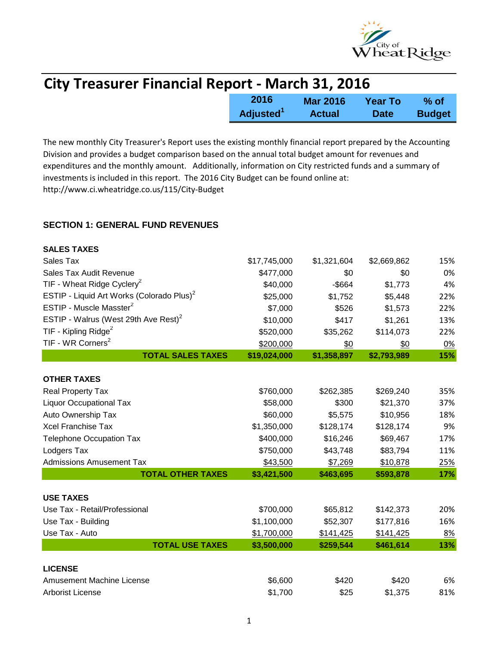

| <b>City Treasurer Financial Report - March 31, 2016</b> |                       |                 |                |               |
|---------------------------------------------------------|-----------------------|-----------------|----------------|---------------|
|                                                         | 2016                  | <b>Mar 2016</b> | <b>Year To</b> | % of          |
|                                                         | Adjusted <sup>1</sup> | <b>Actual</b>   | <b>Date</b>    | <b>Budget</b> |

The new monthly City Treasurer's Report uses the existing monthly financial report prepared by the Accounting Division and provides a budget comparison based on the annual total budget amount for revenues and expenditures and the monthly amount. Additionally, information on City restricted funds and a summary of investments is included in this report. The 2016 City Budget can be found online at: http://www.ci.wheatridge.co.us/115/City-Budget

### **SECTION 1: GENERAL FUND REVENUES**

| <b>SALES TAXES</b>                                    |              |             |             |            |
|-------------------------------------------------------|--------------|-------------|-------------|------------|
| Sales Tax                                             | \$17,745,000 | \$1,321,604 | \$2,669,862 | 15%        |
| Sales Tax Audit Revenue                               | \$477,000    | \$0         | \$0         | 0%         |
| TIF - Wheat Ridge Cyclery <sup>2</sup>                | \$40,000     | $-$ \$664   | \$1,773     | 4%         |
| ESTIP - Liquid Art Works (Colorado Plus) <sup>2</sup> | \$25,000     | \$1,752     | \$5,448     | 22%        |
| ESTIP - Muscle Masster <sup>2</sup>                   | \$7,000      | \$526       | \$1,573     | 22%        |
| ESTIP - Walrus (West 29th Ave Rest) <sup>2</sup>      | \$10,000     | \$417       | \$1,261     | 13%        |
| TIF - Kipling Ridge <sup>2</sup>                      | \$520,000    | \$35,262    | \$114,073   | 22%        |
| TIF - WR Corners <sup>2</sup>                         | \$200,000    | \$0         | \$0         | 0%         |
| <b>TOTAL SALES TAXES</b>                              | \$19,024,000 | \$1,358,897 | \$2,793,989 | 15%        |
|                                                       |              |             |             |            |
| <b>OTHER TAXES</b>                                    |              |             |             |            |
| Real Property Tax                                     | \$760,000    | \$262,385   | \$269,240   | 35%        |
| <b>Liquor Occupational Tax</b>                        | \$58,000     | \$300       | \$21,370    | 37%        |
| Auto Ownership Tax                                    | \$60,000     | \$5,575     | \$10,956    | 18%        |
| <b>Xcel Franchise Tax</b>                             | \$1,350,000  | \$128,174   | \$128,174   | 9%         |
| <b>Telephone Occupation Tax</b>                       | \$400,000    | \$16,246    | \$69,467    | 17%        |
| Lodgers Tax                                           | \$750,000    | \$43,748    | \$83,794    | 11%        |
| <b>Admissions Amusement Tax</b>                       | \$43,500     | \$7,269     | \$10,878    | <u>25%</u> |
| <b>TOTAL OTHER TAXES</b>                              | \$3,421,500  | \$463,695   | \$593,878   | 17%        |
|                                                       |              |             |             |            |
| <b>USE TAXES</b>                                      |              |             |             |            |
| Use Tax - Retail/Professional                         | \$700,000    | \$65,812    | \$142,373   | 20%        |
| Use Tax - Building                                    | \$1,100,000  | \$52,307    | \$177,816   | 16%        |
| Use Tax - Auto                                        | \$1,700,000  | \$141,425   | \$141,425   | 8%         |
| <b>TOTAL USE TAXES</b>                                | \$3,500,000  | \$259,544   | \$461,614   | 13%        |
| <b>LICENSE</b>                                        |              |             |             |            |
| <b>Amusement Machine License</b>                      | \$6,600      | \$420       | \$420       | 6%         |
| <b>Arborist License</b>                               | \$1,700      | \$25        | \$1,375     | 81%        |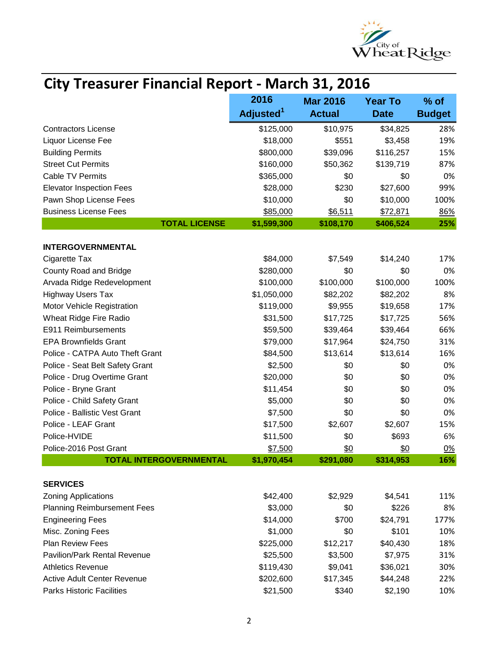

# **City Treasurer Financial Report - March 31, 2016**

|                                     | 2016                  | <b>Mar 2016</b> | <b>Year To</b> | $%$ of        |
|-------------------------------------|-----------------------|-----------------|----------------|---------------|
|                                     | Adjusted <sup>1</sup> | <b>Actual</b>   | <b>Date</b>    | <b>Budget</b> |
| <b>Contractors License</b>          | \$125,000             | \$10,975        | \$34,825       | 28%           |
| Liquor License Fee                  | \$18,000              | \$551           | \$3,458        | 19%           |
| <b>Building Permits</b>             | \$800,000             | \$39,096        | \$116,257      | 15%           |
| <b>Street Cut Permits</b>           | \$160,000             | \$50,362        | \$139,719      | 87%           |
| <b>Cable TV Permits</b>             | \$365,000             | \$0             | \$0            | 0%            |
| <b>Elevator Inspection Fees</b>     | \$28,000              | \$230           | \$27,600       | 99%           |
| Pawn Shop License Fees              | \$10,000              | \$0             | \$10,000       | 100%          |
| <b>Business License Fees</b>        | \$85,000              | \$6,511         | \$72,871       | 86%           |
| <b>TOTAL LICENSE</b>                | \$1,599,300           | \$108,170       | \$406,524      | 25%           |
| <b>INTERGOVERNMENTAL</b>            |                       |                 |                |               |
| Cigarette Tax                       | \$84,000              | \$7,549         | \$14,240       | 17%           |
| County Road and Bridge              | \$280,000             | \$0             | \$0            | 0%            |
| Arvada Ridge Redevelopment          | \$100,000             | \$100,000       | \$100,000      | 100%          |
| <b>Highway Users Tax</b>            | \$1,050,000           | \$82,202        | \$82,202       | 8%            |
| Motor Vehicle Registration          | \$119,000             | \$9,955         | \$19,658       | 17%           |
| Wheat Ridge Fire Radio              | \$31,500              | \$17,725        | \$17,725       | 56%           |
| E911 Reimbursements                 | \$59,500              | \$39,464        | \$39,464       | 66%           |
| <b>EPA Brownfields Grant</b>        | \$79,000              | \$17,964        | \$24,750       | 31%           |
| Police - CATPA Auto Theft Grant     | \$84,500              | \$13,614        | \$13,614       | 16%           |
| Police - Seat Belt Safety Grant     | \$2,500               | \$0             | \$0            | 0%            |
| Police - Drug Overtime Grant        | \$20,000              | \$0             | \$0            | 0%            |
| Police - Bryne Grant                | \$11,454              | \$0             | \$0            | 0%            |
| Police - Child Safety Grant         | \$5,000               | \$0             | \$0            | 0%            |
| Police - Ballistic Vest Grant       | \$7,500               | \$0             | \$0            | 0%            |
| Police - LEAF Grant                 | \$17,500              | \$2,607         | \$2,607        | 15%           |
| Police-HVIDE                        | \$11,500              | \$0             | \$693          | 6%            |
| Police-2016 Post Grant              | \$7,500               | <u>\$0</u>      | \$0            | 0%            |
| <b>TOTAL INTERGOVERNMENTAL</b>      | \$1,970,454           | \$291,080       | \$314,953      | 16%           |
|                                     |                       |                 |                |               |
| <b>SERVICES</b>                     |                       |                 |                |               |
| <b>Zoning Applications</b>          | \$42,400              | \$2,929         | \$4,541        | 11%           |
| <b>Planning Reimbursement Fees</b>  | \$3,000               | \$0             | \$226          | 8%            |
| <b>Engineering Fees</b>             | \$14,000              | \$700           | \$24,791       | 177%          |
| Misc. Zoning Fees                   | \$1,000               | \$0             | \$101          | 10%           |
| <b>Plan Review Fees</b>             | \$225,000             | \$12,217        | \$40,430       | 18%           |
| <b>Pavilion/Park Rental Revenue</b> | \$25,500              | \$3,500         | \$7,975        | 31%           |
| <b>Athletics Revenue</b>            | \$119,430             | \$9,041         | \$36,021       | 30%           |
| <b>Active Adult Center Revenue</b>  | \$202,600             | \$17,345        | \$44,248       | 22%           |
| <b>Parks Historic Facilities</b>    | \$21,500              | \$340           | \$2,190        | 10%           |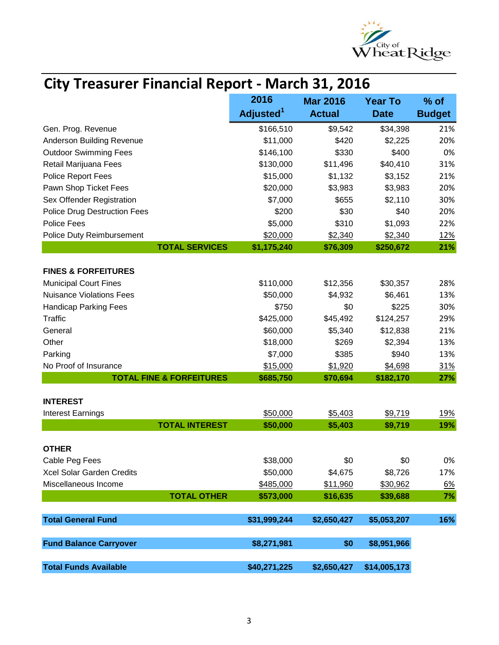

| <b>City Treasurer Financial Report - March 31, 2016</b> |  |
|---------------------------------------------------------|--|
|---------------------------------------------------------|--|

|                                     | 2016                  | <b>Mar 2016</b> | <b>Year To</b> | $%$ of        |
|-------------------------------------|-----------------------|-----------------|----------------|---------------|
|                                     | Adjusted <sup>1</sup> | <b>Actual</b>   | <b>Date</b>    | <b>Budget</b> |
| Gen. Prog. Revenue                  | \$166,510             | \$9,542         | \$34,398       | 21%           |
| Anderson Building Revenue           | \$11,000              | \$420           | \$2,225        | 20%           |
| <b>Outdoor Swimming Fees</b>        | \$146,100             | \$330           | \$400          | 0%            |
| Retail Marijuana Fees               | \$130,000             | \$11,496        | \$40,410       | 31%           |
| Police Report Fees                  | \$15,000              | \$1,132         | \$3,152        | 21%           |
| Pawn Shop Ticket Fees               | \$20,000              | \$3,983         | \$3,983        | 20%           |
| Sex Offender Registration           | \$7,000               | \$655           | \$2,110        | 30%           |
| <b>Police Drug Destruction Fees</b> | \$200                 | \$30            | \$40           | 20%           |
| <b>Police Fees</b>                  | \$5,000               | \$310           | \$1,093        | 22%           |
| Police Duty Reimbursement           | \$20,000              | \$2,340         | \$2,340        | <u>12%</u>    |
| <b>TOTAL SERVICES</b>               | \$1,175,240           | \$76,309        | \$250,672      | 21%           |
|                                     |                       |                 |                |               |
| <b>FINES &amp; FORFEITURES</b>      |                       |                 |                |               |
| <b>Municipal Court Fines</b>        | \$110,000             | \$12,356        | \$30,357       | 28%           |
| <b>Nuisance Violations Fees</b>     | \$50,000              | \$4,932         | \$6,461        | 13%           |
| <b>Handicap Parking Fees</b>        | \$750                 | \$0             | \$225          | 30%           |
| <b>Traffic</b>                      | \$425,000             | \$45,492        | \$124,257      | 29%           |
| General                             | \$60,000              | \$5,340         | \$12,838       | 21%           |
| Other                               | \$18,000              | \$269           | \$2,394        | 13%           |
| Parking                             | \$7,000               | \$385           | \$940          | 13%           |
| No Proof of Insurance               | \$15,000              | \$1,920         | \$4,698        | <u>31%</u>    |
| <b>TOTAL FINE &amp; FORFEITURES</b> | \$685,750             | \$70,694        | \$182,170      | 27%           |
| <b>INTEREST</b>                     |                       |                 |                |               |
| <b>Interest Earnings</b>            | \$50,000              | \$5,403         | \$9,719        | <u>19%</u>    |
| <b>TOTAL INTEREST</b>               | \$50,000              | \$5,403         | \$9,719        | 19%           |
|                                     |                       |                 |                |               |
| <b>OTHER</b>                        |                       |                 |                |               |
| Cable Peg Fees                      | \$38,000              | \$0             | \$0            | 0%            |
| Xcel Solar Garden Credits           | \$50,000              | \$4,675         | \$8,726        | 17%           |
| Miscellaneous Income                | \$485,000             | \$11,960        | \$30,962       | 6%            |
| <b>TOTAL OTHER</b>                  | \$573,000             | \$16,635        | \$39,688       | 7%            |
|                                     |                       |                 |                |               |
| <b>Total General Fund</b>           | \$31,999,244          | \$2,650,427     | \$5,053,207    | 16%           |
|                                     |                       |                 |                |               |
| <b>Fund Balance Carryover</b>       | \$8,271,981           | \$0             | \$8,951,966    |               |
| <b>Total Funds Available</b>        | \$40,271,225          | \$2,650,427     | \$14,005,173   |               |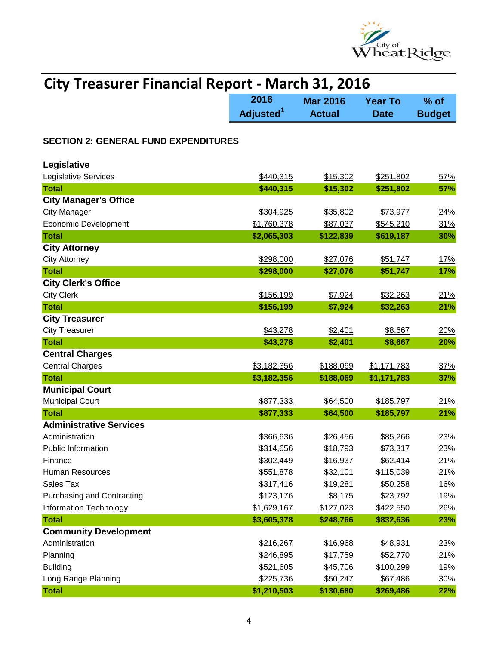

| <b>City Treasurer Financial Report - March 31, 2016</b> |                               |                                  |                               |                         |
|---------------------------------------------------------|-------------------------------|----------------------------------|-------------------------------|-------------------------|
|                                                         | 2016<br>Adjusted <sup>1</sup> | <b>Mar 2016</b><br><b>Actual</b> | <b>Year To</b><br><b>Date</b> | $%$ of<br><b>Budget</b> |
| <b>SECTION 2: GENERAL FUND EXPENDITURES</b>             |                               |                                  |                               |                         |
| Legislative                                             |                               |                                  |                               |                         |
| Legislative Services                                    | \$440,315                     | \$15,302                         | \$251,802                     | 57%                     |
| <b>Total</b>                                            | \$440,315                     | \$15,302                         | \$251,802                     | 57%                     |
| <b>City Manager's Office</b>                            |                               |                                  |                               |                         |
| <b>City Manager</b>                                     | \$304,925                     | \$35,802                         | \$73,977                      | 24%                     |
| <b>Economic Development</b>                             | \$1,760,378                   | \$87,037                         | \$545,210                     | 31%                     |
| <b>Total</b>                                            | \$2,065,303                   | \$122,839                        | \$619,187                     | 30%                     |
| <b>City Attorney</b>                                    |                               |                                  |                               |                         |
| <b>City Attorney</b>                                    | \$298,000                     | \$27,076                         | \$51,747                      | 17%                     |
| <b>Total</b>                                            | \$298,000                     | \$27,076                         | \$51,747                      | <b>17%</b>              |
| <b>City Clerk's Office</b>                              |                               |                                  |                               |                         |
| <b>City Clerk</b>                                       | \$156,199                     | \$7,924                          | \$32,263                      | 21%                     |
| <b>Total</b>                                            | \$156,199                     | \$7,924                          | \$32,263                      | 21%                     |
| <b>City Treasurer</b>                                   |                               |                                  |                               |                         |
| <b>City Treasurer</b>                                   | \$43,278                      | \$2,401                          | \$8,667                       | 20%                     |
| <b>Total</b>                                            | \$43,278                      | \$2,401                          | \$8,667                       | 20%                     |
| <b>Central Charges</b>                                  |                               |                                  |                               |                         |
| <b>Central Charges</b>                                  | \$3,182,356                   | \$188,069                        | \$1,171,783                   | 37%                     |
| <b>Total</b>                                            | \$3,182,356                   | \$188,069                        | \$1,171,783                   | 37%                     |
| <b>Municipal Court</b>                                  |                               |                                  |                               |                         |
| <b>Municipal Court</b>                                  | \$877,333                     | \$64,500                         | \$185,797                     | 21%                     |
| <b>Total</b>                                            | \$877,333                     | \$64,500                         | \$185,797                     | 21%                     |
| <b>Administrative Services</b>                          |                               |                                  |                               |                         |
| Administration                                          | \$366,636                     | \$26,456                         | \$85,266                      | 23%                     |
| Public Information                                      | \$314,656                     | \$18,793                         | \$73,317                      | 23%                     |
| Finance                                                 | \$302,449                     | \$16,937                         | \$62,414                      | 21%                     |
| <b>Human Resources</b>                                  | \$551,878                     | \$32,101                         | \$115,039                     | 21%                     |
| Sales Tax                                               | \$317,416                     | \$19,281                         | \$50,258                      | 16%                     |
| <b>Purchasing and Contracting</b>                       | \$123,176                     | \$8,175                          | \$23,792                      | 19%                     |
| Information Technology                                  | \$1,629,167                   | \$127,023                        | \$422,550                     | 26%                     |
| <b>Total</b>                                            | \$3,605,378                   | \$248,766                        | \$832,636                     | 23%                     |
| <b>Community Development</b>                            |                               |                                  |                               |                         |
| Administration                                          | \$216,267                     | \$16,968                         | \$48,931                      | 23%                     |
| Planning                                                | \$246,895                     | \$17,759                         | \$52,770                      | 21%                     |
| <b>Building</b>                                         | \$521,605                     | \$45,706                         | \$100,299                     | 19%                     |
| Long Range Planning                                     | \$225,736                     | \$50,247                         | \$67,486                      | 30%                     |
| <b>Total</b>                                            | \$1,210,503                   | \$130,680                        | \$269,486                     | 22%                     |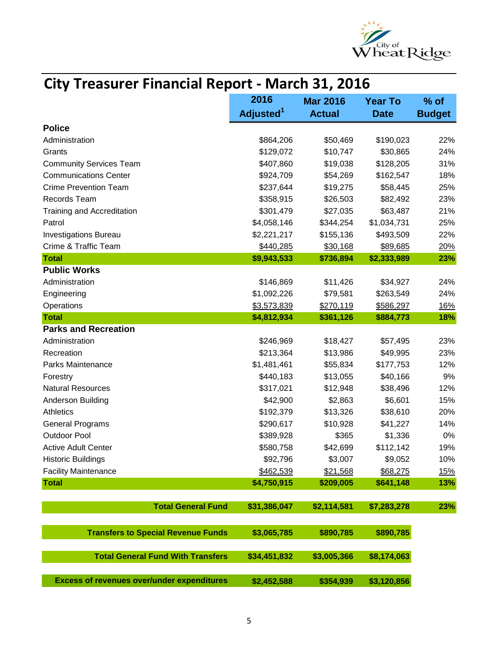

| City Treasurer Financial Report - March 31, 2016  |                       |                 |                |               |
|---------------------------------------------------|-----------------------|-----------------|----------------|---------------|
|                                                   | 2016                  | <b>Mar 2016</b> | <b>Year To</b> | $%$ of        |
|                                                   | Adjusted <sup>1</sup> | <b>Actual</b>   | <b>Date</b>    | <b>Budget</b> |
| <b>Police</b>                                     |                       |                 |                |               |
| Administration                                    | \$864,206             | \$50,469        | \$190,023      | 22%           |
| Grants                                            | \$129,072             | \$10,747        | \$30,865       | 24%           |
| <b>Community Services Team</b>                    | \$407,860             | \$19,038        | \$128,205      | 31%           |
| <b>Communications Center</b>                      | \$924,709             | \$54,269        | \$162,547      | 18%           |
| <b>Crime Prevention Team</b>                      | \$237,644             | \$19,275        | \$58,445       | 25%           |
| Records Team                                      | \$358,915             | \$26,503        | \$82,492       | 23%           |
| <b>Training and Accreditation</b>                 | \$301,479             | \$27,035        | \$63,487       | 21%           |
| Patrol                                            | \$4,058,146           | \$344,254       | \$1,034,731    | 25%           |
| <b>Investigations Bureau</b>                      | \$2,221,217           | \$155,136       | \$493,509      | 22%           |
| Crime & Traffic Team                              | \$440,285             | \$30,168        | \$89,685       | 20%           |
| <b>Total</b>                                      | \$9,943,533           | \$736,894       | \$2,333,989    | 23%           |
| <b>Public Works</b>                               |                       |                 |                |               |
| Administration                                    | \$146,869             | \$11,426        | \$34,927       | 24%           |
| Engineering                                       | \$1,092,226           | \$79,581        | \$263,549      | 24%           |
| Operations                                        | \$3,573,839           | \$270,119       | \$586,297      | <u>16%</u>    |
| <b>Total</b>                                      | \$4,812,934           | \$361,126       | \$884,773      | 18%           |
| <b>Parks and Recreation</b>                       |                       |                 |                |               |
| Administration                                    | \$246,969             | \$18,427        | \$57,495       | 23%           |
| Recreation                                        | \$213,364             | \$13,986        | \$49,995       | 23%           |
| Parks Maintenance                                 | \$1,481,461           | \$55,834        | \$177,753      | 12%           |
| Forestry                                          | \$440,183             | \$13,055        | \$40,166       | 9%            |
| <b>Natural Resources</b>                          | \$317,021             | \$12,948        | \$38,496       | 12%           |
| Anderson Building                                 | \$42,900              | \$2,863         | \$6,601        | 15%           |
| Athletics                                         | \$192,379             | \$13,326        | \$38,610       | 20%           |
| <b>General Programs</b>                           | \$290,617             | \$10,928        | \$41,227       | 14%           |
| <b>Outdoor Pool</b>                               | \$389,928             | \$365           | \$1,336        | 0%            |
| <b>Active Adult Center</b>                        | \$580,758             | \$42,699        | \$112,142      | 19%           |
| <b>Historic Buildings</b>                         | \$92,796              | \$3,007         | \$9,052        | 10%           |
| <b>Facility Maintenance</b>                       | \$462,539             | \$21,568        | \$68,275       | <u>15%</u>    |
| <b>Total</b>                                      | \$4,750,915           | \$209,005       | \$641,148      | 13%           |
|                                                   |                       |                 |                |               |
| <b>Total General Fund</b>                         | \$31,386,047          | \$2,114,581     | \$7,283,278    | 23%           |
| <b>Transfers to Special Revenue Funds</b>         | \$3,065,785           | \$890,785       | \$890,785      |               |
| <b>Total General Fund With Transfers</b>          | \$34,451,832          | \$3,005,366     | \$8,174,063    |               |
| <b>Excess of revenues over/under expenditures</b> | \$2,452,588           | \$354,939       | \$3,120,856    |               |

## **City Treasurer Financial Report - March 31, 2016**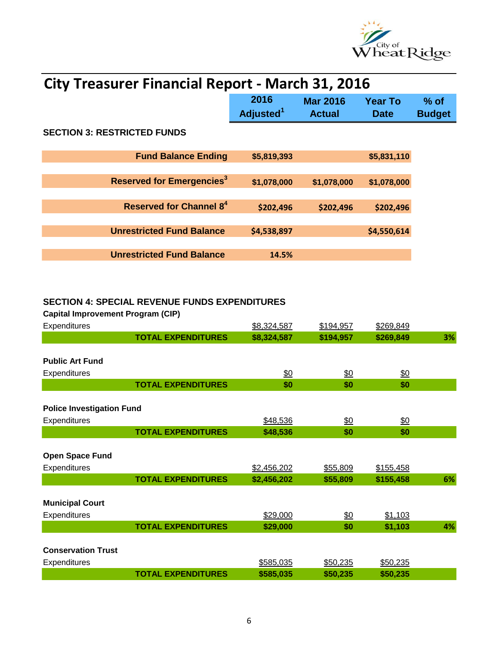

| <b>City Treasurer Financial Report - March 31, 2016</b> |                               |                                  |                        |                         |
|---------------------------------------------------------|-------------------------------|----------------------------------|------------------------|-------------------------|
|                                                         | 2016<br>Adjusted <sup>1</sup> | <b>Mar 2016</b><br><b>Actual</b> | Year To<br><b>Date</b> | $%$ of<br><b>Budget</b> |
| <b>SECTION 3: RESTRICTED FUNDS</b>                      |                               |                                  |                        |                         |
| <b>Fund Balance Ending</b>                              | \$5,819,393                   |                                  | \$5,831,110            |                         |
| <b>Reserved for Emergencies<sup>3</sup></b>             | \$1,078,000                   | \$1,078,000                      | \$1,078,000            |                         |
| <b>Reserved for Channel 84</b>                          | \$202,496                     | \$202,496                        | \$202,496              |                         |
| <b>Unrestricted Fund Balance</b>                        | \$4,538,897                   |                                  | \$4,550,614            |                         |
| <b>Unrestricted Fund Balance</b>                        | 14.5%                         |                                  |                        |                         |

## **SECTION 4: SPECIAL REVENUE FUNDS EXPENDITURES**

**Capital Improvement Program (CIP)**

| Expenditures                     |                           | \$8,324,587   | \$194,957       | \$269,849       |    |
|----------------------------------|---------------------------|---------------|-----------------|-----------------|----|
|                                  |                           |               |                 |                 |    |
|                                  | <b>TOTAL EXPENDITURES</b> | \$8,324,587   | \$194,957       | \$269,849       | 3% |
|                                  |                           |               |                 |                 |    |
| <b>Public Art Fund</b>           |                           |               |                 |                 |    |
| Expenditures                     |                           | $\frac{$0}{}$ | $\frac{60}{20}$ | $\frac{60}{50}$ |    |
|                                  | <b>TOTAL EXPENDITURES</b> | \$0           | \$0             | \$0             |    |
|                                  |                           |               |                 |                 |    |
| <b>Police Investigation Fund</b> |                           |               |                 |                 |    |
| Expenditures                     |                           | \$48,536      | <u>\$0</u>      | $\frac{$0}{}$   |    |
|                                  | <b>TOTAL EXPENDITURES</b> | \$48,536      | \$0             | \$0             |    |
|                                  |                           |               |                 |                 |    |
| <b>Open Space Fund</b>           |                           |               |                 |                 |    |
| Expenditures                     |                           | \$2,456,202   | \$55,809        | \$155,458       |    |
|                                  | <b>TOTAL EXPENDITURES</b> | \$2,456,202   | \$55,809        | \$155,458       | 6% |
|                                  |                           |               |                 |                 |    |
| <b>Municipal Court</b>           |                           |               |                 |                 |    |
| Expenditures                     |                           | \$29,000      | \$0             | \$1,103         |    |
|                                  | <b>TOTAL EXPENDITURES</b> | \$29,000      | \$0             | \$1,103         | 4% |
|                                  |                           |               |                 |                 |    |
| <b>Conservation Trust</b>        |                           |               |                 |                 |    |
| <b>Expenditures</b>              |                           | \$585,035     | \$50,235        | \$50,235        |    |
|                                  | <b>TOTAL EXPENDITURES</b> | \$585,035     | \$50,235        | \$50,235        |    |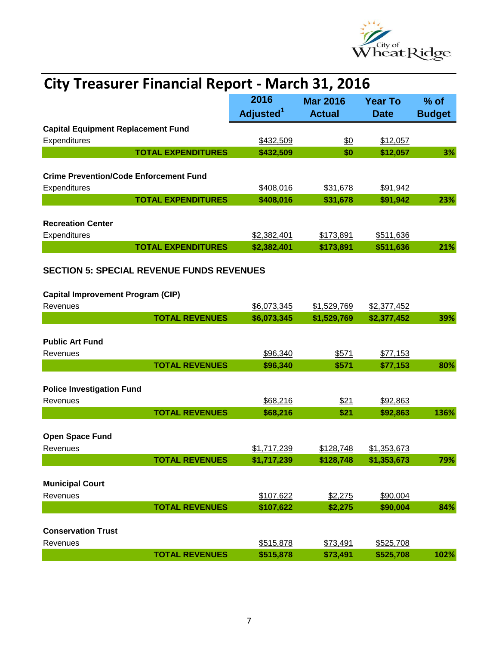

| <b>City Treasurer Financial Report - March 31, 2016</b>       |                               |                                  |                               |                         |
|---------------------------------------------------------------|-------------------------------|----------------------------------|-------------------------------|-------------------------|
|                                                               | 2016<br>Adjusted <sup>1</sup> | <b>Mar 2016</b><br><b>Actual</b> | <b>Year To</b><br><b>Date</b> | $%$ of<br><b>Budget</b> |
| <b>Capital Equipment Replacement Fund</b>                     |                               |                                  |                               |                         |
| Expenditures                                                  | \$432,509                     | \$0                              | \$12,057                      |                         |
| <b>TOTAL EXPENDITURES</b>                                     | \$432,509                     | \$0                              | \$12,057                      | 3%                      |
|                                                               |                               |                                  |                               |                         |
| <b>Crime Prevention/Code Enforcement Fund</b><br>Expenditures | \$408,016                     | \$31,678                         | \$91,942                      |                         |
| <b>TOTAL EXPENDITURES</b>                                     | \$408,016                     | \$31,678                         | \$91,942                      | 23%                     |
|                                                               |                               |                                  |                               |                         |
| <b>Recreation Center</b>                                      |                               |                                  |                               |                         |
| Expenditures<br><b>TOTAL EXPENDITURES</b>                     | \$2,382,401<br>\$2,382,401    | \$173,891<br>\$173,891           | \$511,636<br>\$511,636        | 21%                     |
|                                                               |                               |                                  |                               |                         |
| <b>SECTION 5: SPECIAL REVENUE FUNDS REVENUES</b>              |                               |                                  |                               |                         |
| <b>Capital Improvement Program (CIP)</b>                      |                               |                                  |                               |                         |
| Revenues                                                      | \$6,073,345                   | \$1,529,769                      | \$2,377,452                   |                         |
| <b>TOTAL REVENUES</b>                                         | \$6,073,345                   | \$1,529,769                      | \$2,377,452                   | 39%                     |
|                                                               |                               |                                  |                               |                         |
| <b>Public Art Fund</b><br>Revenues                            | \$96,340                      | \$571                            | \$77,153                      |                         |
| <b>TOTAL REVENUES</b>                                         | \$96,340                      | \$571                            | \$77,153                      | 80%                     |
|                                                               |                               |                                  |                               |                         |
| <b>Police Investigation Fund</b>                              |                               |                                  |                               |                         |
| Revenues                                                      | \$68,216                      | \$21                             | \$92,863                      |                         |
| <b>TOTAL REVENUES</b>                                         | \$68,216                      | \$21                             | \$92,863                      | 136%                    |
| <b>Open Space Fund</b>                                        |                               |                                  |                               |                         |
| Revenues                                                      | \$1,717,239                   | \$128,748                        | \$1,353,673                   |                         |
| <b>TOTAL REVENUES</b>                                         | \$1,717,239                   | \$128,748                        | \$1,353,673                   | 79%                     |
|                                                               |                               |                                  |                               |                         |
| <b>Municipal Court</b><br>Revenues                            |                               |                                  |                               |                         |
| <b>TOTAL REVENUES</b>                                         | \$107,622<br>\$107,622        | \$2,275<br>\$2,275               | \$90,004<br>\$90,004          | 84%                     |
|                                                               |                               |                                  |                               |                         |
| <b>Conservation Trust</b>                                     |                               |                                  |                               |                         |
| Revenues                                                      | \$515,878                     | \$73,491                         | \$525,708                     |                         |
| <b>TOTAL REVENUES</b>                                         | \$515,878                     | \$73,491                         | \$525,708                     | 102%                    |